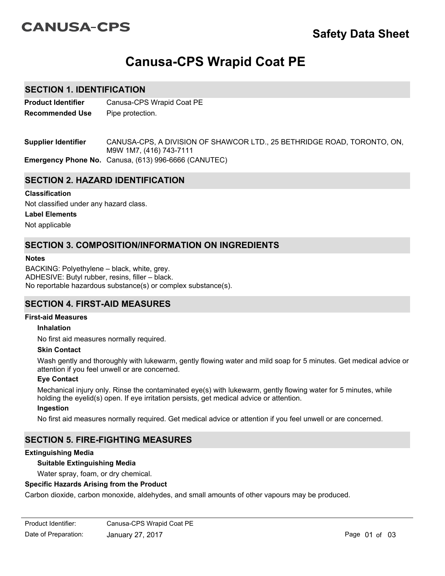# **CANUSA-CPS**

# **Canusa-CPS Wrapid Coat PE**

# **SECTION 1. IDENTIFICATION**

**Product Identifier** Canusa-CPS Wrapid Coat PE **Recommended Use** Pipe protection.

CANUSA-CPS, A DIVISION OF SHAWCOR LTD., 25 BETHRIDGE ROAD, TORONTO, ON, M9W 1M7, (416) 743-7111 **Supplier Identifier**

**Emergency Phone No.** Canusa, (613) 996-6666 (CANUTEC)

# **SECTION 2. HAZARD IDENTIFICATION**

## **Classification**

Not classified under any hazard class.

## **Label Elements**

Not applicable

# **SECTION 3. COMPOSITION/INFORMATION ON INGREDIENTS**

#### **Notes**

BACKING: Polyethylene – black, white, grey. ADHESIVE: Butyl rubber, resins, filler – black. No reportable hazardous substance(s) or complex substance(s).

# **SECTION 4. FIRST-AID MEASURES**

#### **First-aid Measures**

#### **Inhalation**

No first aid measures normally required.

#### **Skin Contact**

Wash gently and thoroughly with lukewarm, gently flowing water and mild soap for 5 minutes. Get medical advice or attention if you feel unwell or are concerned.

#### **Eye Contact**

Mechanical injury only. Rinse the contaminated eye(s) with lukewarm, gently flowing water for 5 minutes, while holding the eyelid(s) open. If eye irritation persists, get medical advice or attention.

#### **Ingestion**

No first aid measures normally required. Get medical advice or attention if you feel unwell or are concerned.

# **SECTION 5. FIRE-FIGHTING MEASURES**

#### **Extinguishing Media**

#### **Suitable Extinguishing Media**

Water spray, foam, or dry chemical.

## **Specific Hazards Arising from the Product**

Carbon dioxide, carbon monoxide, aldehydes, and small amounts of other vapours may be produced.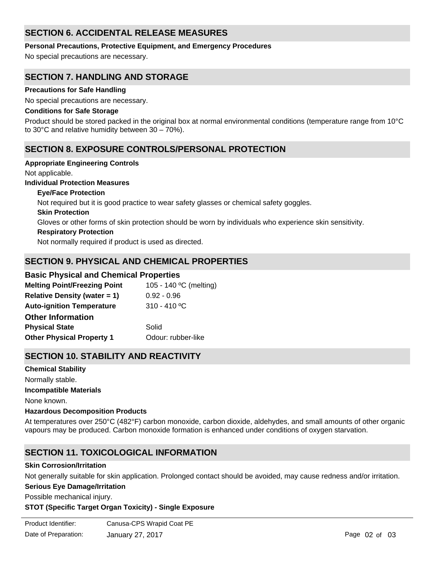# **SECTION 6. ACCIDENTAL RELEASE MEASURES**

**Personal Precautions, Protective Equipment, and Emergency Procedures**

No special precautions are necessary.

# **SECTION 7. HANDLING AND STORAGE**

## **Precautions for Safe Handling**

No special precautions are necessary.

### **Conditions for Safe Storage**

Product should be stored packed in the original box at normal environmental conditions (temperature range from 10°C to 30°C and relative humidity between 30 – 70%).

# **SECTION 8. EXPOSURE CONTROLS/PERSONAL PROTECTION**

#### **Appropriate Engineering Controls**

Not applicable.

## **Individual Protection Measures**

**Skin Protection Respiratory Protection Eye/Face Protection** Not normally required if product is used as directed. Gloves or other forms of skin protection should be worn by individuals who experience skin sensitivity. Not required but it is good practice to wear safety glasses or chemical safety goggles.

# **SECTION 9. PHYSICAL AND CHEMICAL PROPERTIES**

# **Basic Physical and Chemical Properties**

| <b>Melting Point/Freezing Point</b> | 105 - 140 °C (melting) |
|-------------------------------------|------------------------|
| <b>Relative Density (water = 1)</b> | $0.92 - 0.96$          |
| <b>Auto-ignition Temperature</b>    | $310 - 410$ °C         |
| <b>Other Information</b>            |                        |
| <b>Physical State</b>               | Solid                  |
| <b>Other Physical Property 1</b>    | Odour: rubber-like     |

# **SECTION 10. STABILITY AND REACTIVITY**

**Chemical Stability** Normally stable. **Incompatible Materials** None known.

# **Hazardous Decomposition Products**

At temperatures over 250°C (482°F) carbon monoxide, carbon dioxide, aldehydes, and small amounts of other organic vapours may be produced. Carbon monoxide formation is enhanced under conditions of oxygen starvation.

# **SECTION 11. TOXICOLOGICAL INFORMATION**

#### **Skin Corrosion/Irritation**

Not generally suitable for skin application. Prolonged contact should be avoided, may cause redness and/or irritation.

#### **Serious Eye Damage/Irritation**

Possible mechanical injury.

#### **STOT (Specific Target Organ Toxicity) - Single Exposure**

| Product Identifier:  | Canusa-CPS Wrapid Coat PE |
|----------------------|---------------------------|
| Date of Preparation: | January 27, 2017          |